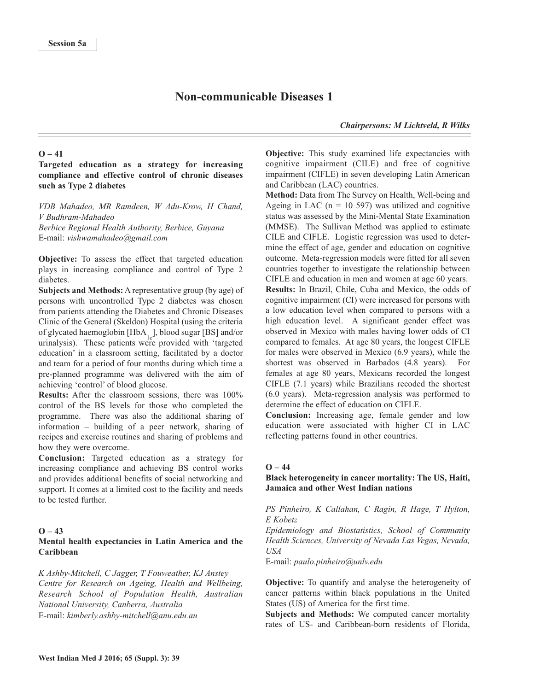# **Non-communicable Diseases 1**

*Chairpersons: M Lichtveld, R Wilks*

### $O - 41$

# **Targeted education as a strategy for increasing compliance and effective control of chronic diseases such as Type 2 diabetes**

*VDB Mahadeo, MR Ramdeen, W Adu-Krow, H Chand, V Budhram-Mahadeo Berbice Regional Health Authority, Berbice, Guyana* E-mail: *vishwamahadeo@gmail.com*

**Objective:** To assess the effect that targeted education plays in increasing compliance and control of Type 2 diabetes.

**Subjects and Methods:** A representative group (by age) of persons with uncontrolled Type 2 diabetes was chosen from patients attending the Diabetes and Chronic Diseases Clinic of the General (Skeldon) Hospital (using the criteria of glycated haemoglobin  $[HbA<sub>1c</sub>]$ , blood sugar [BS] and/or urinalysis). These patients were provided with 'targeted education' in a classroom setting, facilitated by a doctor and team for a period of four months during which time a pre-planned programme was delivered with the aim of achieving 'control' of blood glucose.

**Results:** After the classroom sessions, there was 100% control of the BS levels for those who completed the programme. There was also the additional sharing of information – building of a peer network, sharing of recipes and exercise routines and sharing of problems and how they were overcome.

**Conclusion:** Targeted education as a strategy for increasing compliance and achieving BS control works and provides additional benefits of social networking and support. It comes at a limited cost to the facility and needs to be tested further.

#### $O - 43$

# **Mental health expectancies in Latin America and the Caribbean**

*K Ashby-Mitchell, C Jagger, T Fouweather, KJ Anstey Centre for Research on Ageing, Health and Wellbeing, Research School of Population Health, Australian National University, Canberra, Australia* E-mail: *kimberly.ashby-mitchell@anu.edu.au*

**Objective:** This study examined life expectancies with cognitive impairment (CILE) and free of cognitive impairment (CIFLE) in seven developing Latin American and Caribbean (LAC) countries.

**Method:** Data from The Survey on Health, Well-being and Ageing in LAC ( $n = 10$  597) was utilized and cognitive status was assessed by the Mini-Mental State Examination (MMSE). The Sullivan Method was applied to estimate CILE and CIFLE. Logistic regression was used to determine the effect of age, gender and education on cognitive outcome. Meta-regression models were fitted for all seven countries together to investigate the relationship between CIFLE and education in men and women at age 60 years. **Results:** In Brazil, Chile, Cuba and Mexico, the odds of cognitive impairment (CI) were increased for persons with a low education level when compared to persons with a high education level. A significant gender effect was observed in Mexico with males having lower odds of CI compared to females. At age 80 years, the longest CIFLE for males were observed in Mexico (6.9 years), while the shortest was observed in Barbados (4.8 years). For females at age 80 years, Mexicans recorded the longest CIFLE (7.1 years) while Brazilians recoded the shortest (6.0 years). Meta-regression analysis was performed to determine the effect of education on CIFLE.

**Conclusion:** Increasing age, female gender and low education were associated with higher CI in LAC reflecting patterns found in other countries.

## $Q - 44$

## **Black heterogeneity in cancer mortality: The US, Haiti, Jamaica and other West Indian nations**

*PS Pinheiro, K Callahan, C Ragin, R Hage, T Hylton, E Kobetz*

*Epidemiology and Biostatistics, School of Community Health Sciences, University of Nevada Las Vegas, Nevada, USA*

E-mail: *paulo.pinheiro@unlv.edu*

**Objective:** To quantify and analyse the heterogeneity of cancer patterns within black populations in the United States (US) of America for the first time.

**Subjects and Methods:** We computed cancer mortality rates of US- and Caribbean-born residents of Florida,